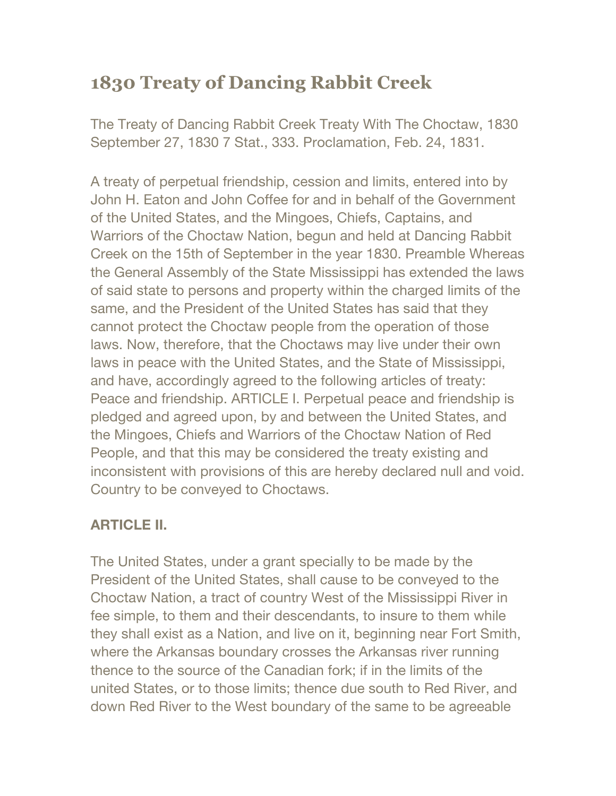# **1830 Treaty of Dancing Rabbit Creek**

The Treaty of Dancing Rabbit Creek Treaty With The Choctaw, 1830 September 27, 1830 7 Stat., 333. Proclamation, Feb. 24, 1831.

A treaty of perpetual friendship, cession and limits, entered into by John H. Eaton and John Coffee for and in behalf of the Government of the United States, and the Mingoes, Chiefs, Captains, and Warriors of the Choctaw Nation, begun and held at Dancing Rabbit Creek on the 15th of September in the year 1830. Preamble Whereas the General Assembly of the State Mississippi has extended the laws of said state to persons and property within the charged limits of the same, and the President of the United States has said that they cannot protect the Choctaw people from the operation of those laws. Now, therefore, that the Choctaws may live under their own laws in peace with the United States, and the State of Mississippi, and have, accordingly agreed to the following articles of treaty: Peace and friendship. ARTICLE I. Perpetual peace and friendship is pledged and agreed upon, by and between the United States, and the Mingoes, Chiefs and Warriors of the Choctaw Nation of Red People, and that this may be considered the treaty existing and inconsistent with provisions of this are hereby declared null and void. Country to be conveyed to Choctaws.

# **ARTICLE II.**

The United States, under a grant specially to be made by the President of the United States, shall cause to be conveyed to the Choctaw Nation, a tract of country West of the Mississippi River in fee simple, to them and their descendants, to insure to them while they shall exist as a Nation, and live on it, beginning near Fort Smith, where the Arkansas boundary crosses the Arkansas river running thence to the source of the Canadian fork; if in the limits of the united States, or to those limits; thence due south to Red River, and down Red River to the West boundary of the same to be agreeable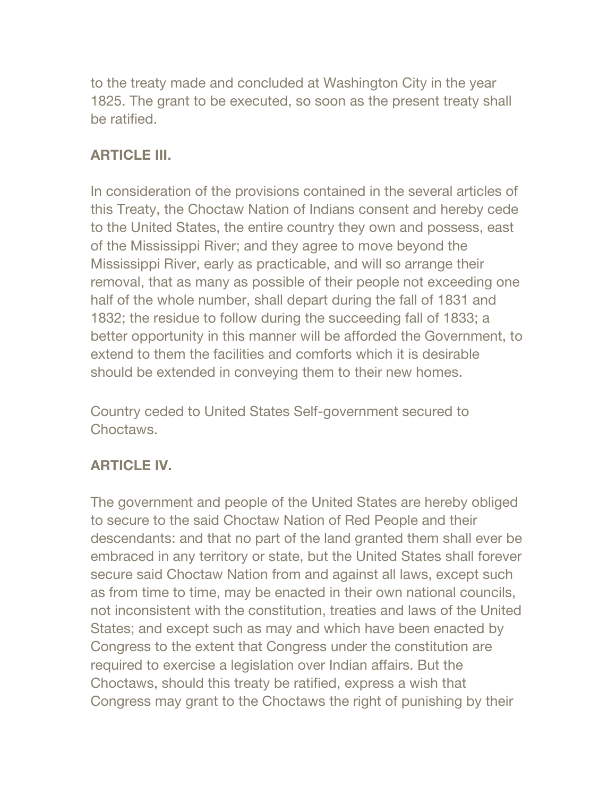to the treaty made and concluded at Washington City in the year 1825. The grant to be executed, so soon as the present treaty shall be ratified.

#### **ARTICLE III.**

In consideration of the provisions contained in the several articles of this Treaty, the Choctaw Nation of Indians consent and hereby cede to the United States, the entire country they own and possess, east of the Mississippi River; and they agree to move beyond the Mississippi River, early as practicable, and will so arrange their removal, that as many as possible of their people not exceeding one half of the whole number, shall depart during the fall of 1831 and 1832; the residue to follow during the succeeding fall of 1833; a better opportunity in this manner will be afforded the Government, to extend to them the facilities and comforts which it is desirable should be extended in conveying them to their new homes.

Country ceded to United States Self-government secured to Choctaws.

# **ARTICLE IV.**

The government and people of the United States are hereby obliged to secure to the said Choctaw Nation of Red People and their descendants: and that no part of the land granted them shall ever be embraced in any territory or state, but the United States shall forever secure said Choctaw Nation from and against all laws, except such as from time to time, may be enacted in their own national councils, not inconsistent with the constitution, treaties and laws of the United States; and except such as may and which have been enacted by Congress to the extent that Congress under the constitution are required to exercise a legislation over Indian affairs. But the Choctaws, should this treaty be ratified, express a wish that Congress may grant to the Choctaws the right of punishing by their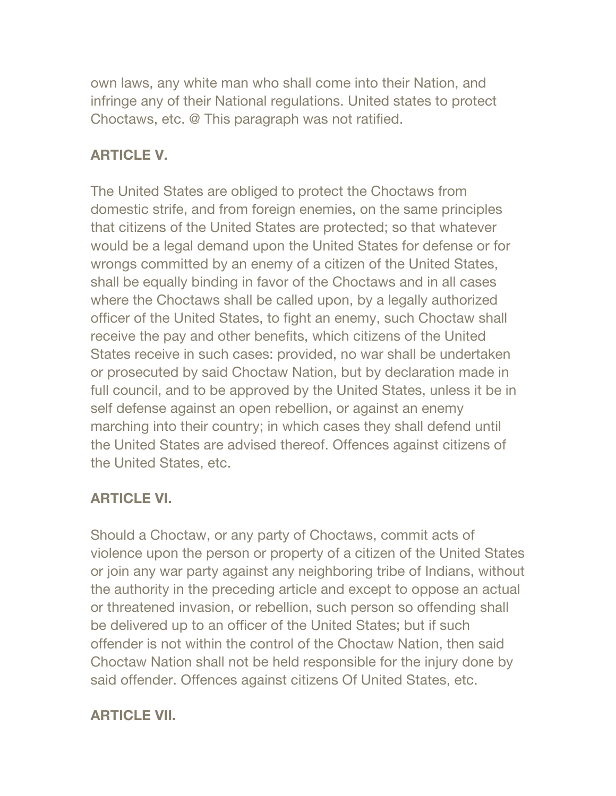own laws, any white man who shall come into their Nation, and infringe any of their National regulations. United states to protect Choctaws, etc. @ This paragraph was not ratified.

#### **ARTICLE V.**

The United States are obliged to protect the Choctaws from domestic strife, and from foreign enemies, on the same principles that citizens of the United States are protected; so that whatever would be a legal demand upon the United States for defense or for wrongs committed by an enemy of a citizen of the United States, shall be equally binding in favor of the Choctaws and in all cases where the Choctaws shall be called upon, by a legally authorized officer of the United States, to fight an enemy, such Choctaw shall receive the pay and other benefits, which citizens of the United States receive in such cases: provided, no war shall be undertaken or prosecuted by said Choctaw Nation, but by declaration made in full council, and to be approved by the United States, unless it be in self defense against an open rebellion, or against an enemy marching into their country; in which cases they shall defend until the United States are advised thereof. Offences against citizens of the United States, etc.

#### **ARTICLE VI.**

Should a Choctaw, or any party of Choctaws, commit acts of violence upon the person or property of a citizen of the United States or join any war party against any neighboring tribe of Indians, without the authority in the preceding article and except to oppose an actual or threatened invasion, or rebellion, such person so offending shall be delivered up to an officer of the United States; but if such offender is not within the control of the Choctaw Nation, then said Choctaw Nation shall not be held responsible for the injury done by said offender. Offences against citizens Of United States, etc.

#### **ARTICLE VII.**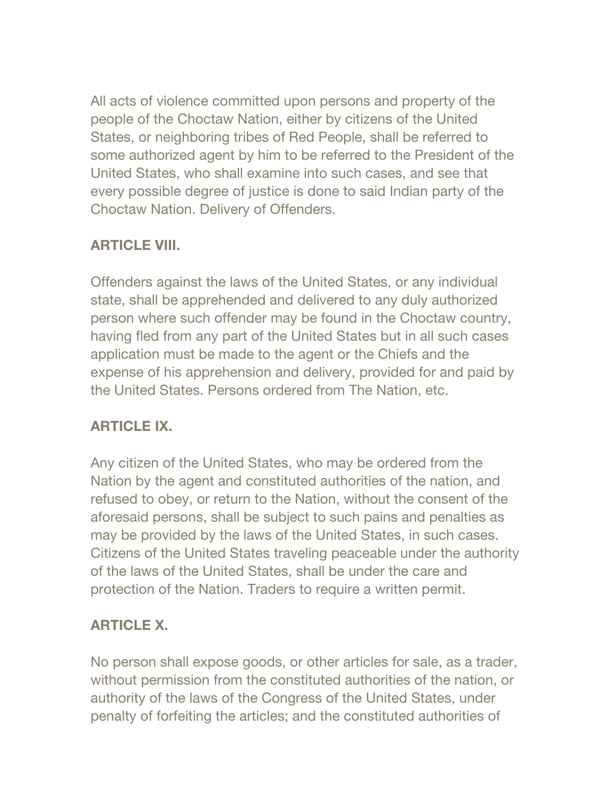All acts of violence committed upon persons and property of the people of the Choctaw Nation, either by citizens of the United States, or neighboring tribes of Red People, shall be referred to some authorized agent by him to be referred to the President of the United States, who shall examine into such cases, and see that every possible degree of justice is done to said Indian party of the Choctaw Nation. Delivery of Offenders.

# **ARTICLE VIII.**

Offenders against the laws of the United States, or any individual state, shall be apprehended and delivered to any duly authorized person where such offender may be found in the Choctaw country, having fled from any part of the United States but in all such cases application must be made to the agent or the Chiefs and the expense of his apprehension and delivery, provided for and paid by the United States. Persons ordered from The Nation, etc.

# **ARTICLE IX.**

Any citizen of the United States, who may be ordered from the Nation by the agent and constituted authorities of the nation, and refused to obey, or return to the Nation, without the consent of the aforesaid persons, shall be subject to such pains and penalties as may be provided by the laws of the United States, in such cases. Citizens of the United States traveling peaceable under the authority of the laws of the United States, shall be under the care and protection of the Nation. Traders to require a written permit.

# **ARTICLE X.**

No person shall expose goods, or other articles for sale, as a trader, without permission from the constituted authorities of the nation, or authority of the laws of the Congress of the United States, under penalty of forfeiting the articles; and the constituted authorities of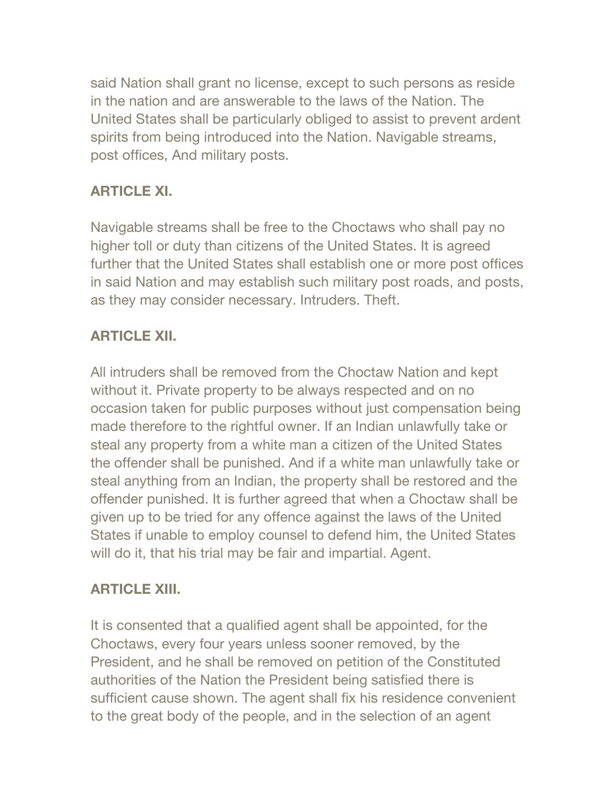said Nation shall grant no license, except to such persons as reside in the nation and are answerable to the laws of the Nation. The United States shall be particularly obliged to assist to prevent ardent spirits from being introduced into the Nation. Navigable streams, post offices, And military posts.

#### **ARTICLE XI.**

Navigable streams shall be free to the Choctaws who shall pay no higher toll or duty than citizens of the United States. It is agreed further that the United States shall establish one or more post offices in said Nation and may establish such military post roads, and posts, as they may consider necessary. Intruders. Theft.

# **ARTICLE XII.**

All intruders shall be removed from the Choctaw Nation and kept without it. Private property to be always respected and on no occasion taken for public purposes without just compensation being made therefore to the rightful owner. If an Indian unlawfully take or steal any property from a white man a citizen of the United States the offender shall be punished. And if a white man unlawfully take or steal anything from an Indian, the property shall be restored and the offender punished. It is further agreed that when a Choctaw shall be given up to be tried for any offence against the laws of the United States if unable to employ counsel to defend him, the United States will do it, that his trial may be fair and impartial. Agent.

# **ARTICLE XIII.**

It is consented that a qualified agent shall be appointed, for the Choctaws, every four years unless sooner removed, by the President, and he shall be removed on petition of the Constituted authorities of the Nation the President being satisfied there is sufficient cause shown. The agent shall fix his residence convenient to the great body of the people, and in the selection of an agent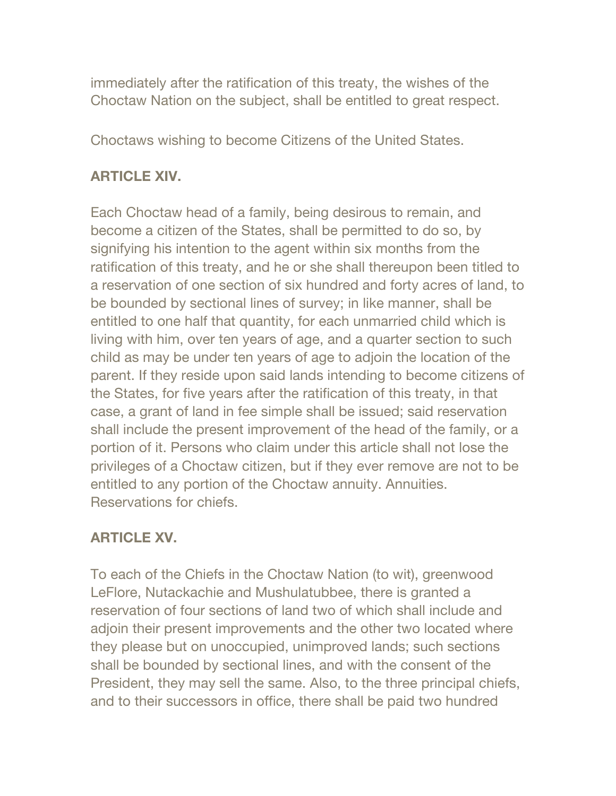immediately after the ratification of this treaty, the wishes of the Choctaw Nation on the subject, shall be entitled to great respect.

Choctaws wishing to become Citizens of the United States.

#### **ARTICLE XIV.**

Each Choctaw head of a family, being desirous to remain, and become a citizen of the States, shall be permitted to do so, by signifying his intention to the agent within six months from the ratification of this treaty, and he or she shall thereupon been titled to a reservation of one section of six hundred and forty acres of land, to be bounded by sectional lines of survey; in like manner, shall be entitled to one half that quantity, for each unmarried child which is living with him, over ten years of age, and a quarter section to such child as may be under ten years of age to adjoin the location of the parent. If they reside upon said lands intending to become citizens of the States, for five years after the ratification of this treaty, in that case, a grant of land in fee simple shall be issued; said reservation shall include the present improvement of the head of the family, or a portion of it. Persons who claim under this article shall not lose the privileges of a Choctaw citizen, but if they ever remove are not to be entitled to any portion of the Choctaw annuity. Annuities. Reservations for chiefs.

# **ARTICLE XV.**

To each of the Chiefs in the Choctaw Nation (to wit), greenwood LeFlore, Nutackachie and Mushulatubbee, there is granted a reservation of four sections of land two of which shall include and adjoin their present improvements and the other two located where they please but on unoccupied, unimproved lands; such sections shall be bounded by sectional lines, and with the consent of the President, they may sell the same. Also, to the three principal chiefs, and to their successors in office, there shall be paid two hundred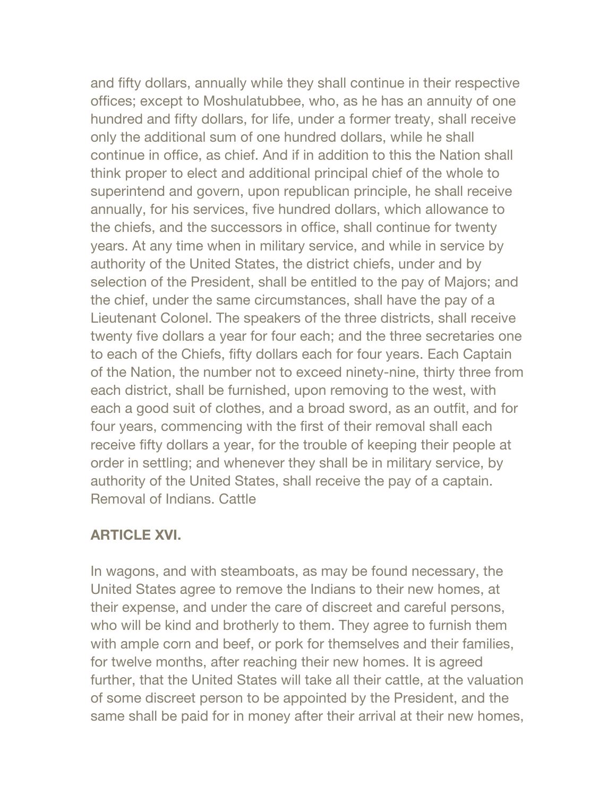and fifty dollars, annually while they shall continue in their respective offices; except to Moshulatubbee, who, as he has an annuity of one hundred and fifty dollars, for life, under a former treaty, shall receive only the additional sum of one hundred dollars, while he shall continue in office, as chief. And if in addition to this the Nation shall think proper to elect and additional principal chief of the whole to superintend and govern, upon republican principle, he shall receive annually, for his services, five hundred dollars, which allowance to the chiefs, and the successors in office, shall continue for twenty years. At any time when in military service, and while in service by authority of the United States, the district chiefs, under and by selection of the President, shall be entitled to the pay of Majors; and the chief, under the same circumstances, shall have the pay of a Lieutenant Colonel. The speakers of the three districts, shall receive twenty five dollars a year for four each; and the three secretaries one to each of the Chiefs, fifty dollars each for four years. Each Captain of the Nation, the number not to exceed ninety-nine, thirty three from each district, shall be furnished, upon removing to the west, with each a good suit of clothes, and a broad sword, as an outfit, and for four years, commencing with the first of their removal shall each receive fifty dollars a year, for the trouble of keeping their people at order in settling; and whenever they shall be in military service, by authority of the United States, shall receive the pay of a captain. Removal of Indians. Cattle

#### **ARTICLE XVI.**

In wagons, and with steamboats, as may be found necessary, the United States agree to remove the Indians to their new homes, at their expense, and under the care of discreet and careful persons, who will be kind and brotherly to them. They agree to furnish them with ample corn and beef, or pork for themselves and their families, for twelve months, after reaching their new homes. It is agreed further, that the United States will take all their cattle, at the valuation of some discreet person to be appointed by the President, and the same shall be paid for in money after their arrival at their new homes,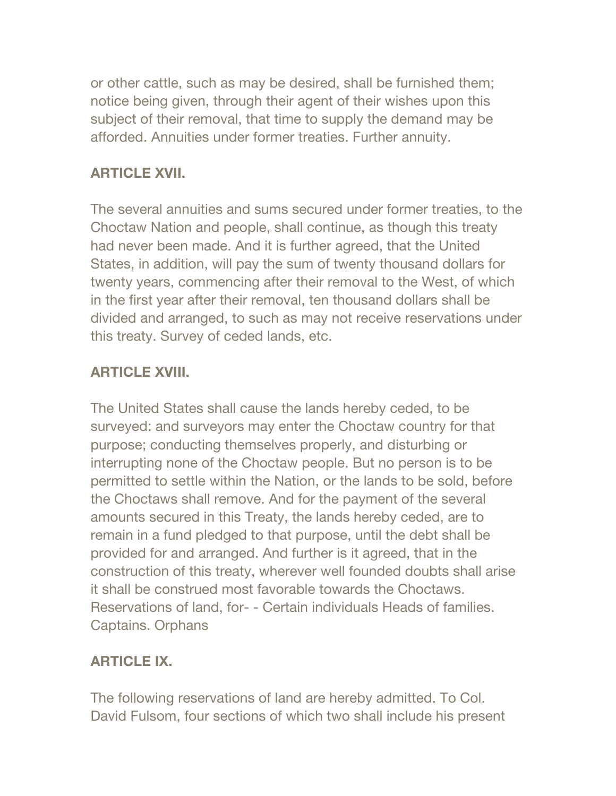or other cattle, such as may be desired, shall be furnished them; notice being given, through their agent of their wishes upon this subject of their removal, that time to supply the demand may be afforded. Annuities under former treaties. Further annuity.

#### **ARTICLE XVII.**

The several annuities and sums secured under former treaties, to the Choctaw Nation and people, shall continue, as though this treaty had never been made. And it is further agreed, that the United States, in addition, will pay the sum of twenty thousand dollars for twenty years, commencing after their removal to the West, of which in the first year after their removal, ten thousand dollars shall be divided and arranged, to such as may not receive reservations under this treaty. Survey of ceded lands, etc.

# **ARTICLE XVIII.**

The United States shall cause the lands hereby ceded, to be surveyed: and surveyors may enter the Choctaw country for that purpose; conducting themselves properly, and disturbing or interrupting none of the Choctaw people. But no person is to be permitted to settle within the Nation, or the lands to be sold, before the Choctaws shall remove. And for the payment of the several amounts secured in this Treaty, the lands hereby ceded, are to remain in a fund pledged to that purpose, until the debt shall be provided for and arranged. And further is it agreed, that in the construction of this treaty, wherever well founded doubts shall arise it shall be construed most favorable towards the Choctaws. Reservations of land, for- - Certain individuals Heads of families. Captains. Orphans

# **ARTICLE IX.**

The following reservations of land are hereby admitted. To Col. David Fulsom, four sections of which two shall include his present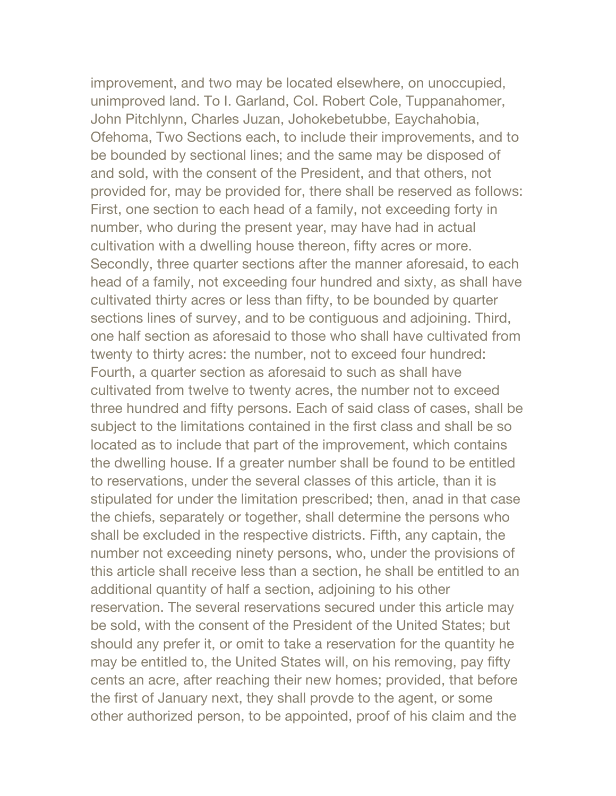improvement, and two may be located elsewhere, on unoccupied, unimproved land. To I. Garland, Col. Robert Cole, Tuppanahomer, John Pitchlynn, Charles Juzan, Johokebetubbe, Eaychahobia, Ofehoma, Two Sections each, to include their improvements, and to be bounded by sectional lines; and the same may be disposed of and sold, with the consent of the President, and that others, not provided for, may be provided for, there shall be reserved as follows: First, one section to each head of a family, not exceeding forty in number, who during the present year, may have had in actual cultivation with a dwelling house thereon, fifty acres or more. Secondly, three quarter sections after the manner aforesaid, to each head of a family, not exceeding four hundred and sixty, as shall have cultivated thirty acres or less than fifty, to be bounded by quarter sections lines of survey, and to be contiguous and adjoining. Third, one half section as aforesaid to those who shall have cultivated from twenty to thirty acres: the number, not to exceed four hundred: Fourth, a quarter section as aforesaid to such as shall have cultivated from twelve to twenty acres, the number not to exceed three hundred and fifty persons. Each of said class of cases, shall be subject to the limitations contained in the first class and shall be so located as to include that part of the improvement, which contains the dwelling house. If a greater number shall be found to be entitled to reservations, under the several classes of this article, than it is stipulated for under the limitation prescribed; then, anad in that case the chiefs, separately or together, shall determine the persons who shall be excluded in the respective districts. Fifth, any captain, the number not exceeding ninety persons, who, under the provisions of this article shall receive less than a section, he shall be entitled to an additional quantity of half a section, adjoining to his other reservation. The several reservations secured under this article may be sold, with the consent of the President of the United States; but should any prefer it, or omit to take a reservation for the quantity he may be entitled to, the United States will, on his removing, pay fifty cents an acre, after reaching their new homes; provided, that before the first of January next, they shall provde to the agent, or some other authorized person, to be appointed, proof of his claim and the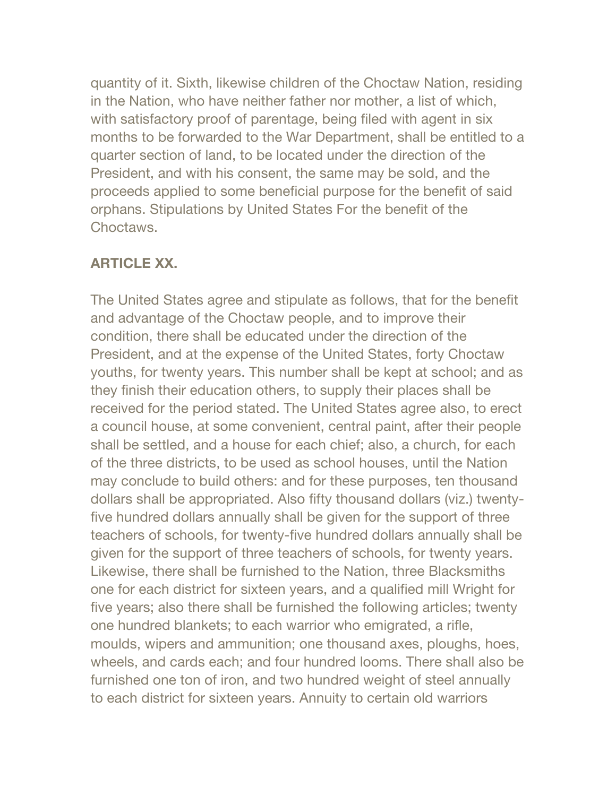quantity of it. Sixth, likewise children of the Choctaw Nation, residing in the Nation, who have neither father nor mother, a list of which, with satisfactory proof of parentage, being filed with agent in six months to be forwarded to the War Department, shall be entitled to a quarter section of land, to be located under the direction of the President, and with his consent, the same may be sold, and the proceeds applied to some beneficial purpose for the benefit of said orphans. Stipulations by United States For the benefit of the Choctaws.

#### **ARTICLE XX.**

The United States agree and stipulate as follows, that for the benefit and advantage of the Choctaw people, and to improve their condition, there shall be educated under the direction of the President, and at the expense of the United States, forty Choctaw youths, for twenty years. This number shall be kept at school; and as they finish their education others, to supply their places shall be received for the period stated. The United States agree also, to erect a council house, at some convenient, central paint, after their people shall be settled, and a house for each chief; also, a church, for each of the three districts, to be used as school houses, until the Nation may conclude to build others: and for these purposes, ten thousand dollars shall be appropriated. Also fifty thousand dollars (viz.) twentyfive hundred dollars annually shall be given for the support of three teachers of schools, for twenty-five hundred dollars annually shall be given for the support of three teachers of schools, for twenty years. Likewise, there shall be furnished to the Nation, three Blacksmiths one for each district for sixteen years, and a qualified mill Wright for five years; also there shall be furnished the following articles; twenty one hundred blankets; to each warrior who emigrated, a rifle, moulds, wipers and ammunition; one thousand axes, ploughs, hoes, wheels, and cards each; and four hundred looms. There shall also be furnished one ton of iron, and two hundred weight of steel annually to each district for sixteen years. Annuity to certain old warriors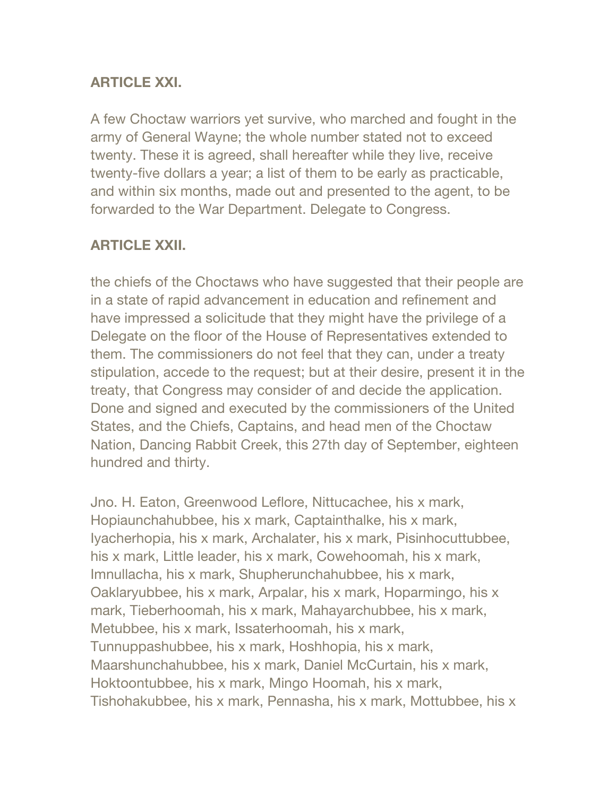# **ARTICLE XXI.**

A few Choctaw warriors yet survive, who marched and fought in the army of General Wayne; the whole number stated not to exceed twenty. These it is agreed, shall hereafter while they live, receive twenty-five dollars a year; a list of them to be early as practicable, and within six months, made out and presented to the agent, to be forwarded to the War Department. Delegate to Congress.

# **ARTICLE XXII.**

the chiefs of the Choctaws who have suggested that their people are in a state of rapid advancement in education and refinement and have impressed a solicitude that they might have the privilege of a Delegate on the floor of the House of Representatives extended to them. The commissioners do not feel that they can, under a treaty stipulation, accede to the request; but at their desire, present it in the treaty, that Congress may consider of and decide the application. Done and signed and executed by the commissioners of the United States, and the Chiefs, Captains, and head men of the Choctaw Nation, Dancing Rabbit Creek, this 27th day of September, eighteen hundred and thirty.

Jno. H. Eaton, Greenwood Leflore, Nittucachee, his x mark, Hopiaunchahubbee, his x mark, Captainthalke, his x mark, Iyacherhopia, his x mark, Archalater, his x mark, Pisinhocuttubbee, his x mark, Little leader, his x mark, Cowehoomah, his x mark, Imnullacha, his x mark, Shupherunchahubbee, his x mark, Oaklaryubbee, his x mark, Arpalar, his x mark, Hoparmingo, his x mark, Tieberhoomah, his x mark, Mahayarchubbee, his x mark, Metubbee, his x mark, Issaterhoomah, his x mark, Tunnuppashubbee, his x mark, Hoshhopia, his x mark, Maarshunchahubbee, his x mark, Daniel McCurtain, his x mark, Hoktoontubbee, his x mark, Mingo Hoomah, his x mark, Tishohakubbee, his x mark, Pennasha, his x mark, Mottubbee, his x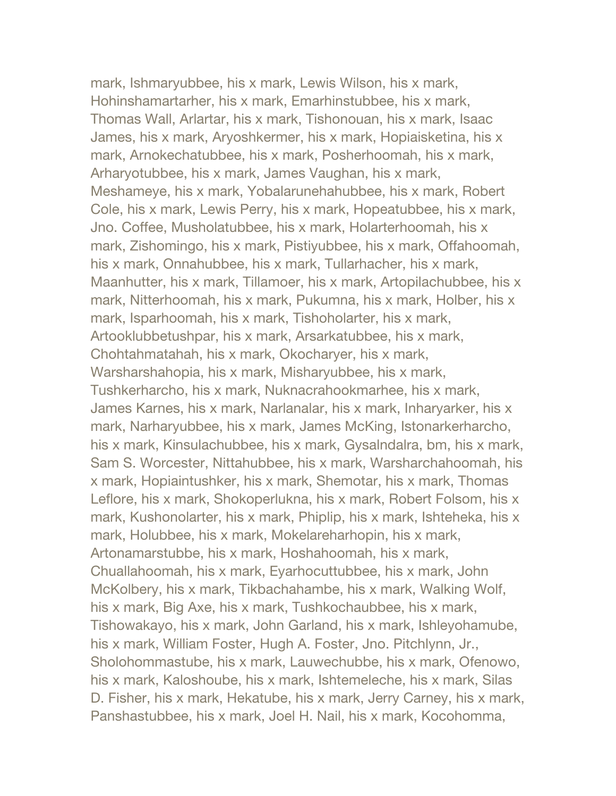mark, Ishmaryubbee, his x mark, Lewis Wilson, his x mark, Hohinshamartarher, his x mark, Emarhinstubbee, his x mark, Thomas Wall, Arlartar, his x mark, Tishonouan, his x mark, Isaac James, his x mark, Aryoshkermer, his x mark, Hopiaisketina, his x mark, Arnokechatubbee, his x mark, Posherhoomah, his x mark, Arharyotubbee, his x mark, James Vaughan, his x mark, Meshameye, his x mark, Yobalarunehahubbee, his x mark, Robert Cole, his x mark, Lewis Perry, his x mark, Hopeatubbee, his x mark, Jno. Coffee, Musholatubbee, his x mark, Holarterhoomah, his x mark, Zishomingo, his x mark, Pistiyubbee, his x mark, Offahoomah, his x mark, Onnahubbee, his x mark, Tullarhacher, his x mark, Maanhutter, his x mark, Tillamoer, his x mark, Artopilachubbee, his x mark, Nitterhoomah, his x mark, Pukumna, his x mark, Holber, his x mark, Isparhoomah, his x mark, Tishoholarter, his x mark, Artooklubbetushpar, his x mark, Arsarkatubbee, his x mark, Chohtahmatahah, his x mark, Okocharyer, his x mark, Warsharshahopia, his x mark, Misharyubbee, his x mark, Tushkerharcho, his x mark, Nuknacrahookmarhee, his x mark, James Karnes, his x mark, Narlanalar, his x mark, Inharyarker, his x mark, Narharyubbee, his x mark, James McKing, Istonarkerharcho, his x mark, Kinsulachubbee, his x mark, Gysalndalra, bm, his x mark, Sam S. Worcester, Nittahubbee, his x mark, Warsharchahoomah, his x mark, Hopiaintushker, his x mark, Shemotar, his x mark, Thomas Leflore, his x mark, Shokoperlukna, his x mark, Robert Folsom, his x mark, Kushonolarter, his x mark, Phiplip, his x mark, Ishteheka, his x mark, Holubbee, his x mark, Mokelareharhopin, his x mark, Artonamarstubbe, his x mark, Hoshahoomah, his x mark, Chuallahoomah, his x mark, Eyarhocuttubbee, his x mark, John McKolbery, his x mark, Tikbachahambe, his x mark, Walking Wolf, his x mark, Big Axe, his x mark, Tushkochaubbee, his x mark, Tishowakayo, his x mark, John Garland, his x mark, Ishleyohamube, his x mark, William Foster, Hugh A. Foster, Jno. Pitchlynn, Jr., Sholohommastube, his x mark, Lauwechubbe, his x mark, Ofenowo, his x mark, Kaloshoube, his x mark, Ishtemeleche, his x mark, Silas D. Fisher, his x mark, Hekatube, his x mark, Jerry Carney, his x mark, Panshastubbee, his x mark, Joel H. Nail, his x mark, Kocohomma,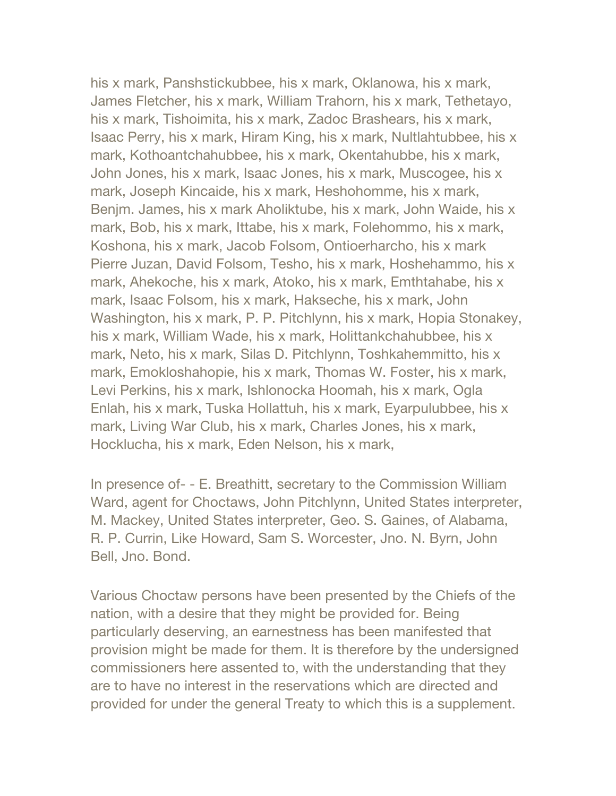his x mark, Panshstickubbee, his x mark, Oklanowa, his x mark, James Fletcher, his x mark, William Trahorn, his x mark, Tethetayo, his x mark, Tishoimita, his x mark, Zadoc Brashears, his x mark, Isaac Perry, his x mark, Hiram King, his x mark, Nultlahtubbee, his x mark, Kothoantchahubbee, his x mark, Okentahubbe, his x mark, John Jones, his x mark, Isaac Jones, his x mark, Muscogee, his x mark, Joseph Kincaide, his x mark, Heshohomme, his x mark, Benjm. James, his x mark Aholiktube, his x mark, John Waide, his x mark, Bob, his x mark, Ittabe, his x mark, Folehommo, his x mark, Koshona, his x mark, Jacob Folsom, Ontioerharcho, his x mark Pierre Juzan, David Folsom, Tesho, his x mark, Hoshehammo, his x mark, Ahekoche, his x mark, Atoko, his x mark, Emthtahabe, his x mark, Isaac Folsom, his x mark, Hakseche, his x mark, John Washington, his x mark, P. P. Pitchlynn, his x mark, Hopia Stonakey, his x mark, William Wade, his x mark, Holittankchahubbee, his x mark, Neto, his x mark, Silas D. Pitchlynn, Toshkahemmitto, his x mark, Emokloshahopie, his x mark, Thomas W. Foster, his x mark, Levi Perkins, his x mark, Ishlonocka Hoomah, his x mark, Ogla Enlah, his x mark, Tuska Hollattuh, his x mark, Eyarpulubbee, his x mark, Living War Club, his x mark, Charles Jones, his x mark, Hocklucha, his x mark, Eden Nelson, his x mark,

In presence of- - E. Breathitt, secretary to the Commission William Ward, agent for Choctaws, John Pitchlynn, United States interpreter, M. Mackey, United States interpreter, Geo. S. Gaines, of Alabama, R. P. Currin, Like Howard, Sam S. Worcester, Jno. N. Byrn, John Bell, Jno. Bond.

Various Choctaw persons have been presented by the Chiefs of the nation, with a desire that they might be provided for. Being particularly deserving, an earnestness has been manifested that provision might be made for them. It is therefore by the undersigned commissioners here assented to, with the understanding that they are to have no interest in the reservations which are directed and provided for under the general Treaty to which this is a supplement.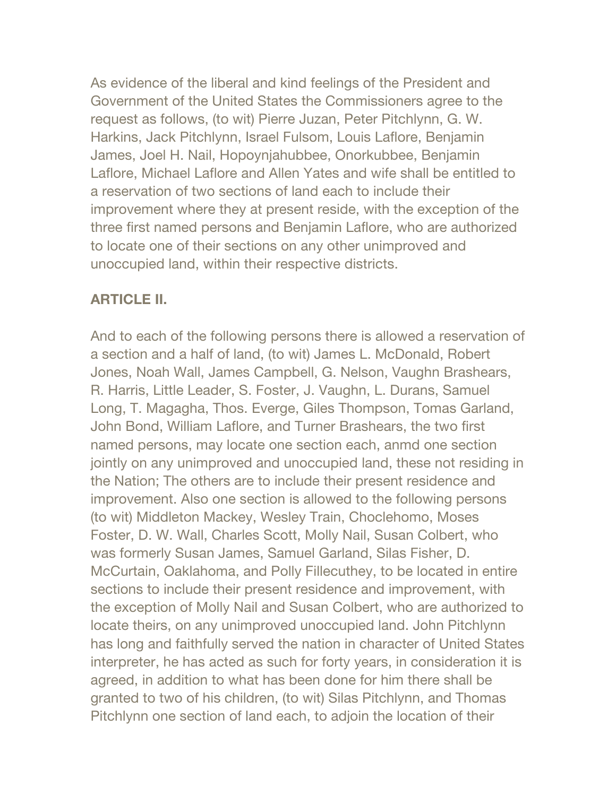As evidence of the liberal and kind feelings of the President and Government of the United States the Commissioners agree to the request as follows, (to wit) Pierre Juzan, Peter Pitchlynn, G. W. Harkins, Jack Pitchlynn, Israel Fulsom, Louis Laflore, Benjamin James, Joel H. Nail, Hopoynjahubbee, Onorkubbee, Benjamin Laflore, Michael Laflore and Allen Yates and wife shall be entitled to a reservation of two sections of land each to include their improvement where they at present reside, with the exception of the three first named persons and Benjamin Laflore, who are authorized to locate one of their sections on any other unimproved and unoccupied land, within their respective districts.

#### **ARTICLE II.**

And to each of the following persons there is allowed a reservation of a section and a half of land, (to wit) James L. McDonald, Robert Jones, Noah Wall, James Campbell, G. Nelson, Vaughn Brashears, R. Harris, Little Leader, S. Foster, J. Vaughn, L. Durans, Samuel Long, T. Magagha, Thos. Everge, Giles Thompson, Tomas Garland, John Bond, William Laflore, and Turner Brashears, the two first named persons, may locate one section each, anmd one section jointly on any unimproved and unoccupied land, these not residing in the Nation; The others are to include their present residence and improvement. Also one section is allowed to the following persons (to wit) Middleton Mackey, Wesley Train, Choclehomo, Moses Foster, D. W. Wall, Charles Scott, Molly Nail, Susan Colbert, who was formerly Susan James, Samuel Garland, Silas Fisher, D. McCurtain, Oaklahoma, and Polly Fillecuthey, to be located in entire sections to include their present residence and improvement, with the exception of Molly Nail and Susan Colbert, who are authorized to locate theirs, on any unimproved unoccupied land. John Pitchlynn has long and faithfully served the nation in character of United States interpreter, he has acted as such for forty years, in consideration it is agreed, in addition to what has been done for him there shall be granted to two of his children, (to wit) Silas Pitchlynn, and Thomas Pitchlynn one section of land each, to adjoin the location of their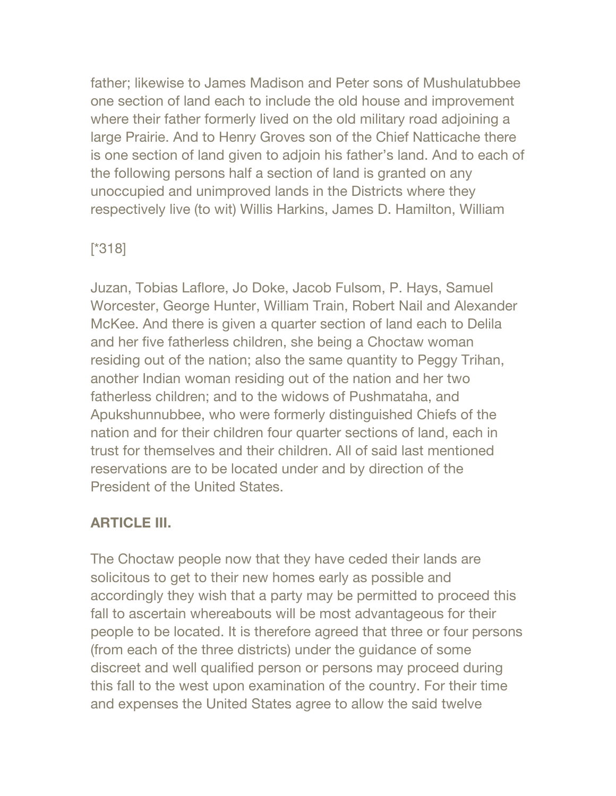father; likewise to James Madison and Peter sons of Mushulatubbee one section of land each to include the old house and improvement where their father formerly lived on the old military road adjoining a large Prairie. And to Henry Groves son of the Chief Natticache there is one section of land given to adjoin his father's land. And to each of the following persons half a section of land is granted on any unoccupied and unimproved lands in the Districts where they respectively live (to wit) Willis Harkins, James D. Hamilton, William

#### [\*318]

Juzan, Tobias Laflore, Jo Doke, Jacob Fulsom, P. Hays, Samuel Worcester, George Hunter, William Train, Robert Nail and Alexander McKee. And there is given a quarter section of land each to Delila and her five fatherless children, she being a Choctaw woman residing out of the nation; also the same quantity to Peggy Trihan, another Indian woman residing out of the nation and her two fatherless children; and to the widows of Pushmataha, and Apukshunnubbee, who were formerly distinguished Chiefs of the nation and for their children four quarter sections of land, each in trust for themselves and their children. All of said last mentioned reservations are to be located under and by direction of the President of the United States.

# **ARTICLE III.**

The Choctaw people now that they have ceded their lands are solicitous to get to their new homes early as possible and accordingly they wish that a party may be permitted to proceed this fall to ascertain whereabouts will be most advantageous for their people to be located. It is therefore agreed that three or four persons (from each of the three districts) under the guidance of some discreet and well qualified person or persons may proceed during this fall to the west upon examination of the country. For their time and expenses the United States agree to allow the said twelve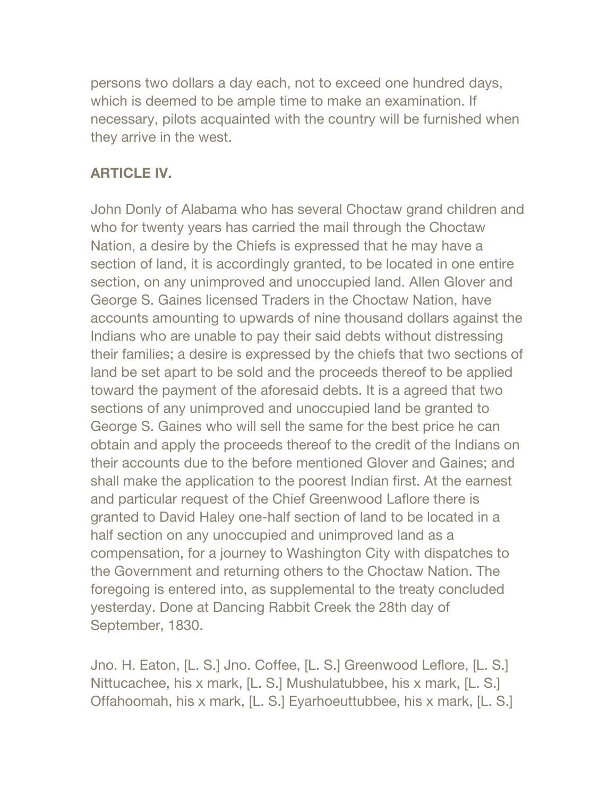persons two dollars a day each, not to exceed one hundred days, which is deemed to be ample time to make an examination. If necessary, pilots acquainted with the country will be furnished when they arrive in the west.

#### **ARTICLE IV.**

John Donly of Alabama who has several Choctaw grand children and who for twenty years has carried the mail through the Choctaw Nation, a desire by the Chiefs is expressed that he may have a section of land, it is accordingly granted, to be located in one entire section, on any unimproved and unoccupied land. Allen Glover and George S. Gaines licensed Traders in the Choctaw Nation, have accounts amounting to upwards of nine thousand dollars against the Indians who are unable to pay their said debts without distressing their families; a desire is expressed by the chiefs that two sections of land be set apart to be sold and the proceeds thereof to be applied toward the payment of the aforesaid debts. It is a agreed that two sections of any unimproved and unoccupied land be granted to George S. Gaines who will sell the same for the best price he can obtain and apply the proceeds thereof to the credit of the Indians on their accounts due to the before mentioned Glover and Gaines; and shall make the application to the poorest Indian first. At the earnest and particular request of the Chief Greenwood Laflore there is granted to David Haley one-half section of land to be located in a half section on any unoccupied and unimproved land as a compensation, for a journey to Washington City with dispatches to the Government and returning others to the Choctaw Nation. The foregoing is entered into, as supplemental to the treaty concluded yesterday. Done at Dancing Rabbit Creek the 28th day of September, 1830.

Jno. H. Eaton, [L. S.] Jno. Coffee, [L. S.] Greenwood Leflore, [L. S.] Nittucachee, his x mark, [L. S.] Mushulatubbee, his x mark, [L. S.] Offahoomah, his x mark, [L. S.] Eyarhoeuttubbee, his x mark, [L. S.]